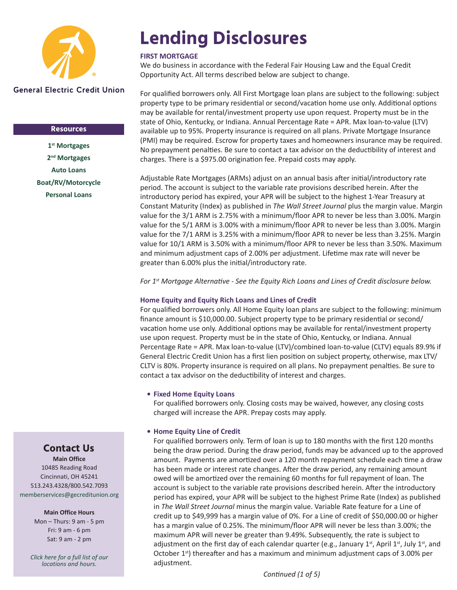

#### **Resources**

**[1st Mortgages](https://www.gecreditunion.org/home/borrowing/1st-mortgages) [2nd Mortgages](https://www.gecreditunion.org/home/borrowing/home-equity) [Auto Loans](https://www.gecreditunion.org/home/borrowing/auto-car-buying-service) [Boat/RV/Motorcycle](https://www.gecreditunion.org/home/borrowing/boat-rv-motorcycle) [Personal Loans](https://www.gecreditunion.org/home/borrowing/personal-loans)**

# **Lending Disclosures**

#### **FIRST MORTGAGE**

We do business in accordance with the Federal Fair Housing Law and the Equal Credit Opportunity Act. All terms described below are subject to change.

For qualified borrowers only. All First Mortgage loan plans are subject to the following: subject property type to be primary residential or second/vacation home use only. Additional options may be available for rental/investment property use upon request. Property must be in the state of Ohio, Kentucky, or Indiana. Annual Percentage Rate = APR. Max loan-to-value (LTV) available up to 95%. Property insurance is required on all plans. Private Mortgage Insurance (PMI) may be required. Escrow for property taxes and homeowners insurance may be required. No prepayment penalties. Be sure to contact a tax advisor on the deductibility of interest and charges. There is a \$975.00 origination fee. Prepaid costs may apply.

Adjustable Rate Mortgages (ARMs) adjust on an annual basis after initial/introductory rate period. The account is subject to the variable rate provisions described herein. After the introductory period has expired, your APR will be subject to the highest 1-Year Treasury at Constant Maturity (Index) as published in *The Wall Street Journal* plus the margin value. Margin value for the 3/1 ARM is 2.75% with a minimum/floor APR to never be less than 3.00%. Margin value for the 5/1 ARM is 3.00% with a minimum/floor APR to never be less than 3.00%. Margin value for the 7/1 ARM is 3.25% with a minimum/floor APR to never be less than 3.25%. Margin value for 10/1 ARM is 3.50% with a minimum/floor APR to never be less than 3.50%. Maximum and minimum adjustment caps of 2.00% per adjustment. Lifetime max rate will never be greater than 6.00% plus the initial/introductory rate.

*For 1st Mortgage Alternative - See the Equity Rich Loans and Lines of Credit disclosure below.*

#### **Home Equity and Equity Rich Loans and Lines of Credit**

For qualified borrowers only. All Home Equity loan plans are subject to the following: minimum finance amount is \$10,000.00. Subject property type to be primary residential or second/ vacation home use only. Additional options may be available for rental/investment property use upon request. Property must be in the state of Ohio, Kentucky, or Indiana. Annual Percentage Rate = APR. Max loan-to-value (LTV)/combined loan-to-value (CLTV) equals 89.9% if General Electric Credit Union has a first lien position on subject property, otherwise, max LTV/ CLTV is 80%. Property insurance is required on all plans. No prepayment penalties. Be sure to contact a tax advisor on the deductibility of interest and charges.

#### **• Fixed Home Equity Loans**

For qualified borrowers only. Closing costs may be waived, however, any closing costs charged will increase the APR. Prepay costs may apply.

#### **• Home Equity Line of Credit**

For qualified borrowers only. Term of loan is up to 180 months with the first 120 months being the draw period. During the draw period, funds may be advanced up to the approved amount. Payments are amortized over a 120 month repayment schedule each time a draw has been made or interest rate changes. After the draw period, any remaining amount owed will be amortized over the remaining 60 months for full repayment of loan. The account is subject to the variable rate provisions described herein. After the introductory period has expired, your APR will be subject to the highest Prime Rate (Index) as published in *The Wall Street Journal* minus the margin value. Variable Rate feature for a Line of credit up to \$49,999 has a margin value of 0%. For a Line of credit of \$50,000.00 or higher has a margin value of 0.25%. The minimum/floor APR will never be less than 3.00%; the maximum APR will never be greater than 9.49%. Subsequently, the rate is subject to adjustment on the first day of each calendar quarter (e.g., January 1st, April 1st, July 1st, and October  $1<sup>st</sup>$ ) thereafter and has a maximum and minimum adjustment caps of 3.00% per adjustment.

### **Contact Us**

**Main Office** 10485 Reading Road Cincinnati, OH 45241 513.243.4328/800.542.7093 memberservices@gecreditunion.org

#### **Main Office Hours**

Mon – Thurs: 9 am - 5 pm Fri: 9 am - 6 pm Sat: 9 am - 2 pm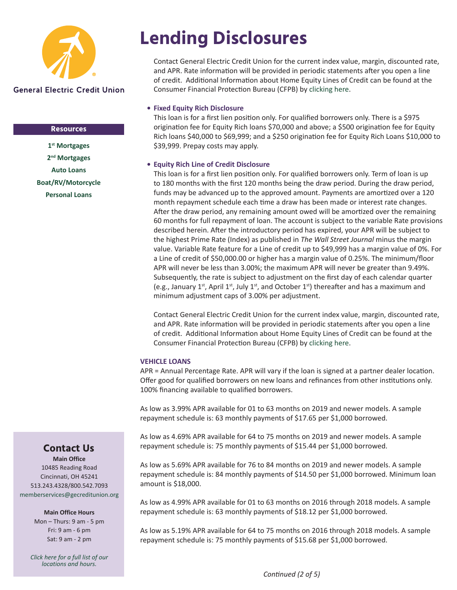

#### **Resources**

**[1st Mortgages](https://www.gecreditunion.org/home/borrowing/1st-mortgages) [2nd Mortgages](https://www.gecreditunion.org/home/borrowing/home-equity) [Auto Loans](https://www.gecreditunion.org/home/borrowing/auto-car-buying-service) [Boat/RV/Motorcycle](https://www.gecreditunion.org/home/borrowing/boat-rv-motorcycle) [Personal Loans](https://www.gecreditunion.org/home/borrowing/personal-loans)**

### **Lending Disclosures**

Contact General Electric Credit Union for the current index value, margin, discounted rate, and APR. Rate information will be provided in periodic statements after you open a line of credit. Additional Information about Home Equity Lines of Credit can be found at the Consumer Financial Protection Bureau (CFPB) by [clicking here](https://files.consumerfinance.gov/f/201401_cfpb_booklet_heloc.pdf).

#### **• Fixed Equity Rich Disclosure**

This loan is for a first lien position only. For qualified borrowers only. There is a \$975 origination fee for Equity Rich loans \$70,000 and above; a \$500 origination fee for Equity Rich loans \$40,000 to \$69,999; and a \$250 origination fee for Equity Rich Loans \$10,000 to \$39,999. Prepay costs may apply.

#### **• Equity Rich Line of Credit Disclosure**

This loan is for a first lien position only. For qualified borrowers only. Term of loan is up to 180 months with the first 120 months being the draw period. During the draw period, funds may be advanced up to the approved amount. Payments are amortized over a 120 month repayment schedule each time a draw has been made or interest rate changes. After the draw period, any remaining amount owed will be amortized over the remaining 60 months for full repayment of loan. The account is subject to the variable Rate provisions described herein. After the introductory period has expired, your APR will be subject to the highest Prime Rate (Index) as published in *The Wall Street Journal* minus the margin value. Variable Rate feature for a Line of credit up to \$49,999 has a margin value of 0%. For a Line of credit of \$50,000.00 or higher has a margin value of 0.25%. The minimum/floor APR will never be less than 3.00%; the maximum APR will never be greater than 9.49%. Subsequently, the rate is subject to adjustment on the first day of each calendar quarter (e.g., January 1<sup>st</sup>, April 1<sup>st</sup>, July 1<sup>st</sup>, and October 1<sup>st</sup>) thereafter and has a maximum and minimum adjustment caps of 3.00% per adjustment.

Contact General Electric Credit Union for the current index value, margin, discounted rate, and APR. Rate information will be provided in periodic statements after you open a line of credit. Additional Information about Home Equity Lines of Credit can be found at the Consumer Financial Protection Bureau (CFPB) by [clicking here](https://files.consumerfinance.gov/f/201401_cfpb_booklet_heloc.pdf).

#### **VEHICLE LOANS**

APR = Annual Percentage Rate. APR will vary if the loan is signed at a partner dealer location. Offer good for qualified borrowers on new loans and refinances from other institutions only. 100% financing available to qualified borrowers.

As low as 3.99% APR available for 01 to 63 months on 2019 and newer models. A sample repayment schedule is: 63 monthly payments of \$17.65 per \$1,000 borrowed.

As low as 4.69% APR available for 64 to 75 months on 2019 and newer models. A sample repayment schedule is: 75 monthly payments of \$15.44 per \$1,000 borrowed.

As low as 5.69% APR available for 76 to 84 months on 2019 and newer models. A sample repayment schedule is: 84 monthly payments of \$14.50 per \$1,000 borrowed. Minimum loan amount is \$18,000.

As low as 4.99% APR available for 01 to 63 months on 2016 through 2018 models. A sample repayment schedule is: 63 monthly payments of \$18.12 per \$1,000 borrowed.

As low as 5.19% APR available for 64 to 75 months on 2016 through 2018 models. A sample repayment schedule is: 75 monthly payments of \$15.68 per \$1,000 borrowed.

### **Contact Us**

**Main Office** 10485 Reading Road Cincinnati, OH 45241 513.243.4328/800.542.7093 [memberservices@gecreditunion.org](mailto:memberservices%40gecreditunion.org?subject=)

#### **Main Office Hours**

Mon – Thurs: 9 am - 5 pm Fri: 9 am - 6 pm Sat: 9 am - 2 pm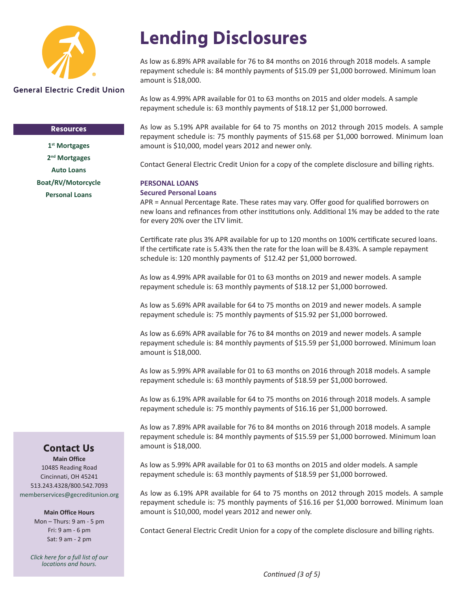

#### **Resources**

**[1st Mortgages](https://www.gecreditunion.org/home/borrowing/1st-mortgages) [2nd Mortgages](https://www.gecreditunion.org/home/borrowing/home-equity) [Auto Loans](https://www.gecreditunion.org/home/borrowing/auto-car-buying-service) [Boat/RV/Motorcycle](https://www.gecreditunion.org/home/borrowing/boat-rv-motorcycle) [Personal Loans](https://www.gecreditunion.org/home/borrowing/personal-loans)**

# **Lending Disclosures**

As low as 6.89% APR available for 76 to 84 months on 2016 through 2018 models. A sample repayment schedule is: 84 monthly payments of \$15.09 per \$1,000 borrowed. Minimum loan amount is \$18,000.

As low as 4.99% APR available for 01 to 63 months on 2015 and older models. A sample repayment schedule is: 63 monthly payments of \$18.12 per \$1,000 borrowed.

As low as 5.19% APR available for 64 to 75 months on 2012 through 2015 models. A sample repayment schedule is: 75 monthly payments of \$15.68 per \$1,000 borrowed. Minimum loan amount is \$10,000, model years 2012 and newer only.

Contact General Electric Credit Union for a copy of the complete disclosure and billing rights.

#### **PERSONAL LOANS**

#### **Secured Personal Loans**

APR = Annual Percentage Rate. These rates may vary. Offer good for qualified borrowers on new loans and refinances from other institutions only. Additional 1% may be added to the rate for every 20% over the LTV limit.

Certificate rate plus 3% APR available for up to 120 months on 100% certificate secured loans. If the certificate rate is 5.43% then the rate for the loan will be 8.43%. A sample repayment schedule is: 120 monthly payments of \$12.42 per \$1,000 borrowed.

As low as 4.99% APR available for 01 to 63 months on 2019 and newer models. A sample repayment schedule is: 63 monthly payments of \$18.12 per \$1,000 borrowed.

As low as 5.69% APR available for 64 to 75 months on 2019 and newer models. A sample repayment schedule is: 75 monthly payments of \$15.92 per \$1,000 borrowed.

As low as 6.69% APR available for 76 to 84 months on 2019 and newer models. A sample repayment schedule is: 84 monthly payments of \$15.59 per \$1,000 borrowed. Minimum loan amount is \$18,000.

As low as 5.99% APR available for 01 to 63 months on 2016 through 2018 models. A sample repayment schedule is: 63 monthly payments of \$18.59 per \$1,000 borrowed.

As low as 6.19% APR available for 64 to 75 months on 2016 through 2018 models. A sample repayment schedule is: 75 monthly payments of \$16.16 per \$1,000 borrowed.

As low as 7.89% APR available for 76 to 84 months on 2016 through 2018 models. A sample repayment schedule is: 84 monthly payments of \$15.59 per \$1,000 borrowed. Minimum loan amount is \$18,000.

As low as 5.99% APR available for 01 to 63 months on 2015 and older models. A sample repayment schedule is: 63 monthly payments of \$18.59 per \$1,000 borrowed.

As low as 6.19% APR available for 64 to 75 months on 2012 through 2015 models. A sample repayment schedule is: 75 monthly payments of \$16.16 per \$1,000 borrowed. Minimum loan amount is \$10,000, model years 2012 and newer only.

Contact General Electric Credit Union for a copy of the complete disclosure and billing rights.

### **Contact Us**

**Main Office** 10485 Reading Road Cincinnati, OH 45241 513.243.4328/800.542.7093 [memberservices@gecreditunion.org](mailto:memberservices%40gecreditunion.org?subject=)

#### **Main Office Hours**

Mon – Thurs: 9 am - 5 pm Fri: 9 am - 6 pm Sat: 9 am - 2 pm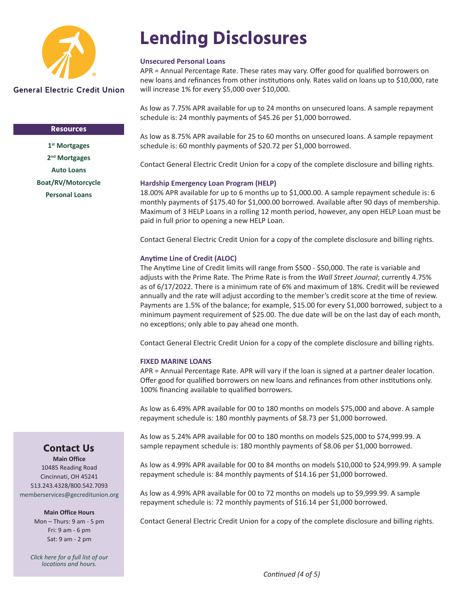

#### **Resources**

**[1st Mortgages](https://www.gecreditunion.org/home/borrowing/1st-mortgages) [2nd Mortgages](https://www.gecreditunion.org/home/borrowing/home-equity) [Auto Loans](https://www.gecreditunion.org/home/borrowing/auto-car-buying-service) [Boat/RV/Motorcycle](https://www.gecreditunion.org/home/borrowing/boat-rv-motorcycle) [Personal Loans](https://www.gecreditunion.org/home/borrowing/personal-loans)**

## **Lending Disclosures**

#### **Unsecured Personal Loans**

APR = Annual Percentage Rate. These rates may vary. Offer good for qualified borrowers on new loans and refinances from other institutions only. Rates valid on loans up to \$10,000, rate will increase 1% for every \$5,000 over \$10,000.

As low as 7.75% APR available for up to 24 months on unsecured loans. A sample repayment schedule is: 24 monthly payments of \$45.26 per \$1,000 borrowed.

As low as 8.75% APR available for 25 to 60 months on unsecured loans. A sample repayment schedule is: 60 monthly payments of \$20.72 per \$1,000 borrowed.

Contact General Electric Credit Union for a copy of the complete disclosure and billing rights.

#### **Hardship Emergency Loan Program (HELP)**

18.00% APR available for up to 6 months up to \$1,000.00. A sample repayment schedule is: 6 monthly payments of \$175.40 for \$1,000.00 borrowed. Available after 90 days of membership. Maximum of 3 HELP Loans in a rolling 12 month period, however, any open HELP Loan must be paid in full prior to opening a new HELP Loan.

Contact General Electric Credit Union for a copy of the complete disclosure and billing rights.

#### **Anytime Line of Credit (ALOC)**

The Anytime Line of Credit limits will range from \$500 - \$50,000. The rate is variable and adjusts with the Prime Rate. The Prime Rate is from the *Wall Street Journal*; currently 4.75% as of 6/17/2022. There is a minimum rate of 6% and maximum of 18%. Credit will be reviewed annually and the rate will adjust according to the member's credit score at the time of review. Payments are 1.5% of the balance; for example, \$15.00 for every \$1,000 borrowed, subject to a minimum payment requirement of \$25.00. The due date will be on the last day of each month, no exceptions; only able to pay ahead one month.

Contact General Electric Credit Union for a copy of the complete disclosure and billing rights.

#### **FIXED MARINE LOANS**

APR = Annual Percentage Rate. APR will vary if the loan is signed at a partner dealer location. Offer good for qualified borrowers on new loans and refinances from other institutions only. 100% financing available to qualified borrowers.

As low as 6.49% APR available for 00 to 180 months on models \$75,000 and above. A sample repayment schedule is: 180 monthly payments of \$8.73 per \$1,000 borrowed.

As low as 5.24% APR available for 00 to 180 months on models \$25,000 to \$74,999.99. A sample repayment schedule is: 180 monthly payments of \$8.06 per \$1,000 borrowed.

As low as 4.99% APR available for 00 to 84 months on models \$10,000 to \$24,999.99. A sample repayment schedule is: 84 monthly payments of \$14.16 per \$1,000 borrowed.

As low as 4.99% APR available for 00 to 72 months on models up to \$9,999.99. A sample repayment schedule is: 72 monthly payments of \$16.14 per \$1,000 borrowed.

Contact General Electric Credit Union for a copy of the complete disclosure and billing rights.

### **Contact Us**

**Main Office** 10485 Reading Road Cincinnati, OH 45241 513.243.4328/800.542.7093 [memberservices@gecreditunion.org](mailto:memberservices%40gecreditunion.org?subject=)

#### **Main Office Hours**

Mon – Thurs: 9 am - 5 pm Fri: 9 am - 6 pm Sat: 9 am - 2 pm